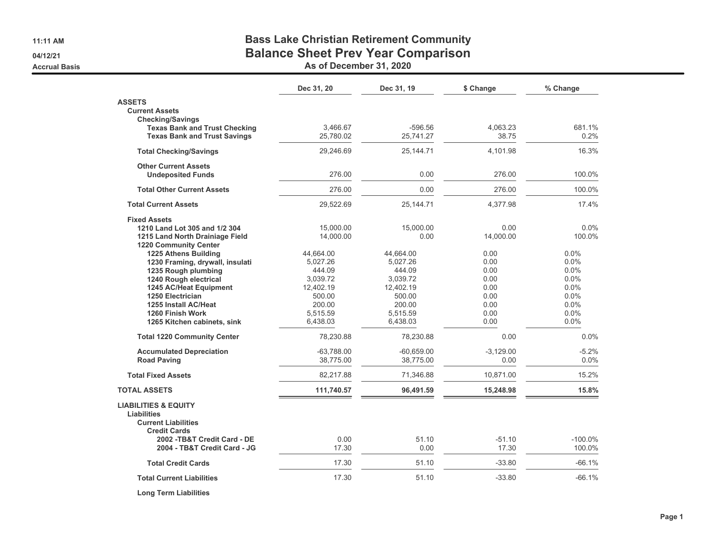**11:11 AM**

**04/12/21**

#### **Accrual Basis**

## **Bass Lake Christian Retirement Community Balance Sheet Prev Year Comparison**

**As of December 31, 2020**

|                                                                                                                                                                                                                                                                                                                                                                                                                                                                   | Dec 31, 20                                                                                                                                                               | Dec 31, 19                                                                                                                                                          | \$ Change                                                                                                                | % Change                                                                                                          |
|-------------------------------------------------------------------------------------------------------------------------------------------------------------------------------------------------------------------------------------------------------------------------------------------------------------------------------------------------------------------------------------------------------------------------------------------------------------------|--------------------------------------------------------------------------------------------------------------------------------------------------------------------------|---------------------------------------------------------------------------------------------------------------------------------------------------------------------|--------------------------------------------------------------------------------------------------------------------------|-------------------------------------------------------------------------------------------------------------------|
| <b>ASSETS</b><br><b>Current Assets</b><br><b>Checking/Savings</b>                                                                                                                                                                                                                                                                                                                                                                                                 |                                                                                                                                                                          |                                                                                                                                                                     |                                                                                                                          |                                                                                                                   |
| <b>Texas Bank and Trust Checking</b><br><b>Texas Bank and Trust Savings</b>                                                                                                                                                                                                                                                                                                                                                                                       | 3,466.67<br>25,780.02                                                                                                                                                    | -596.56<br>25,741.27                                                                                                                                                | 4,063.23<br>38.75                                                                                                        | 681.1%<br>0.2%                                                                                                    |
| <b>Total Checking/Savings</b>                                                                                                                                                                                                                                                                                                                                                                                                                                     | 29,246.69                                                                                                                                                                | 25,144.71                                                                                                                                                           | 4,101.98                                                                                                                 | 16.3%                                                                                                             |
| <b>Other Current Assets</b><br><b>Undeposited Funds</b>                                                                                                                                                                                                                                                                                                                                                                                                           | 276.00                                                                                                                                                                   | 0.00                                                                                                                                                                | 276.00                                                                                                                   | 100.0%                                                                                                            |
| <b>Total Other Current Assets</b>                                                                                                                                                                                                                                                                                                                                                                                                                                 | 276.00                                                                                                                                                                   | 0.00                                                                                                                                                                | 276.00                                                                                                                   | 100.0%                                                                                                            |
| <b>Total Current Assets</b>                                                                                                                                                                                                                                                                                                                                                                                                                                       | 29,522.69                                                                                                                                                                | 25,144.71                                                                                                                                                           | 4,377.98                                                                                                                 | 17.4%                                                                                                             |
| <b>Fixed Assets</b><br>1210 Land Lot 305 and 1/2 304<br>1215 Land North Drainiage Field<br><b>1220 Community Center</b><br>1225 Athens Building<br>1230 Framing, drywall, insulati<br>1235 Rough plumbing<br>1240 Rough electrical<br>1245 AC/Heat Equipment<br><b>1250 Electrician</b><br>1255 Install AC/Heat<br>1260 Finish Work<br>1265 Kitchen cabinets, sink<br><b>Total 1220 Community Center</b><br><b>Accumulated Depreciation</b><br><b>Road Paving</b> | 15,000.00<br>14,000.00<br>44,664.00<br>5,027.26<br>444.09<br>3,039.72<br>12,402.19<br>500.00<br>200.00<br>5,515.59<br>6,438.03<br>78,230.88<br>$-63.788.00$<br>38.775.00 | 15,000.00<br>0.00<br>44,664.00<br>5,027.26<br>444.09<br>3,039.72<br>12,402.19<br>500.00<br>200.00<br>5,515.59<br>6,438.03<br>78,230.88<br>$-60,659.00$<br>38,775.00 | 0.00<br>14,000.00<br>0.00<br>0.00<br>0.00<br>0.00<br>0.00<br>0.00<br>0.00<br>0.00<br>0.00<br>0.00<br>$-3.129.00$<br>0.00 | 0.0%<br>100.0%<br>0.0%<br>0.0%<br>0.0%<br>0.0%<br>0.0%<br>0.0%<br>0.0%<br>0.0%<br>0.0%<br>0.0%<br>$-5.2%$<br>0.0% |
| <b>Total Fixed Assets</b>                                                                                                                                                                                                                                                                                                                                                                                                                                         | 82,217.88                                                                                                                                                                | 71,346.88                                                                                                                                                           | 10,871.00                                                                                                                | 15.2%                                                                                                             |
| <b>TOTAL ASSETS</b>                                                                                                                                                                                                                                                                                                                                                                                                                                               | 111,740.57                                                                                                                                                               | 96,491.59                                                                                                                                                           | 15,248.98                                                                                                                | 15.8%                                                                                                             |
| <b>LIABILITIES &amp; EQUITY</b><br><b>Liabilities</b><br><b>Current Liabilities</b><br><b>Credit Cards</b><br>2002 - TB&T Credit Card - DE<br>2004 - TB&T Credit Card - JG                                                                                                                                                                                                                                                                                        | 0.00<br>17.30                                                                                                                                                            | 51.10<br>0.00                                                                                                                                                       | $-51.10$<br>17.30                                                                                                        | $-100.0%$<br>100.0%                                                                                               |
| <b>Total Credit Cards</b>                                                                                                                                                                                                                                                                                                                                                                                                                                         | 17.30                                                                                                                                                                    | 51.10                                                                                                                                                               | $-33.80$                                                                                                                 | $-66.1%$                                                                                                          |
| <b>Total Current Liabilities</b>                                                                                                                                                                                                                                                                                                                                                                                                                                  | 17.30                                                                                                                                                                    | 51.10                                                                                                                                                               | $-33.80$                                                                                                                 | $-66.1%$                                                                                                          |
| <b>Long Term Liabilities</b>                                                                                                                                                                                                                                                                                                                                                                                                                                      |                                                                                                                                                                          |                                                                                                                                                                     |                                                                                                                          |                                                                                                                   |